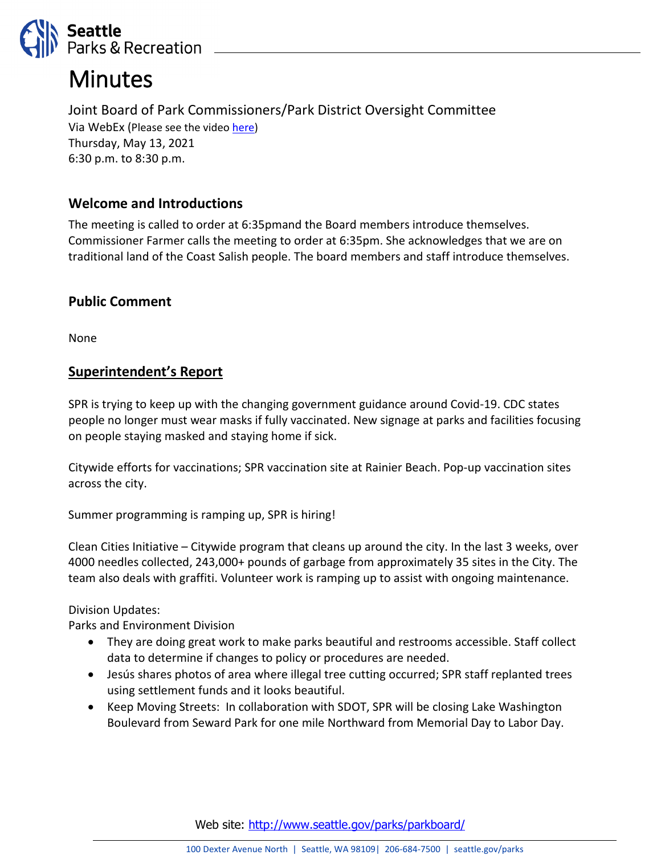

# **Minutes**

Joint Board of Park Commissioners/Park District Oversight Committee Via WebEx (Please see the video [here\)](http://www.seattlechannel.org/parksBoard) Thursday, May 13, 2021 6:30 p.m. to 8:30 p.m.

# **Welcome and Introductions**

The meeting is called to order at 6:35pmand the Board members introduce themselves. Commissioner Farmer calls the meeting to order at 6:35pm. She acknowledges that we are on traditional land of the Coast Salish people. The board members and staff introduce themselves.

### **Public Comment**

None

#### **Superintendent's Report**

SPR is trying to keep up with the changing government guidance around Covid-19. CDC states people no longer must wear masks if fully vaccinated. New signage at parks and facilities focusing on people staying masked and staying home if sick.

Citywide efforts for vaccinations; SPR vaccination site at Rainier Beach. Pop-up vaccination sites across the city.

Summer programming is ramping up, SPR is hiring!

Clean Cities Initiative – Citywide program that cleans up around the city. In the last 3 weeks, over 4000 needles collected, 243,000+ pounds of garbage from approximately 35 sites in the City. The team also deals with graffiti. Volunteer work is ramping up to assist with ongoing maintenance.

Division Updates:

Parks and Environment Division

- They are doing great work to make parks beautiful and restrooms accessible. Staff collect data to determine if changes to policy or procedures are needed.
- Jesús shares photos of area where illegal tree cutting occurred; SPR staff replanted trees using settlement funds and it looks beautiful.
- Keep Moving Streets: In collaboration with SDOT, SPR will be closing Lake Washington Boulevard from Seward Park for one mile Northward from Memorial Day to Labor Day.

Web site: <http://www.seattle.gov/parks/parkboard/>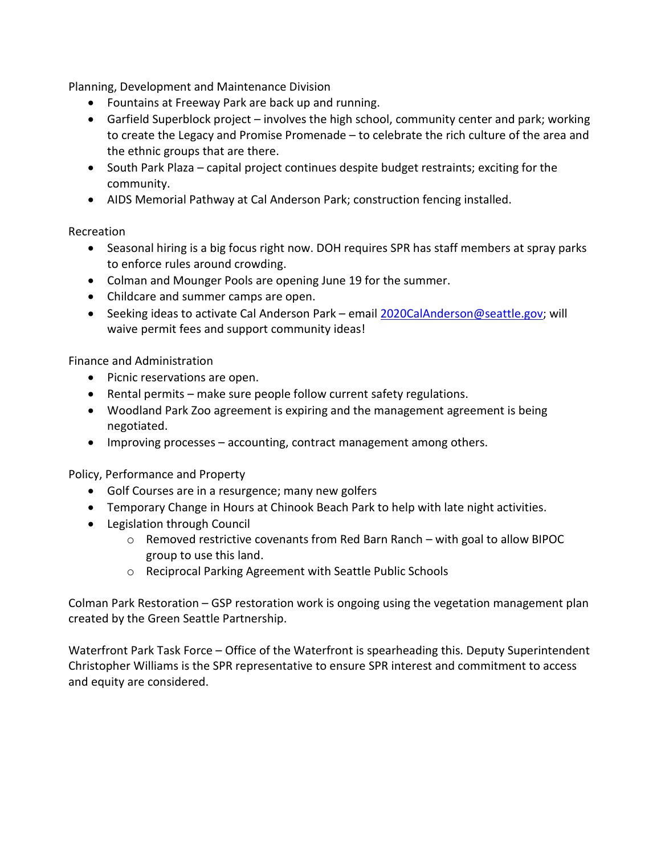Planning, Development and Maintenance Division

- Fountains at Freeway Park are back up and running.
- Garfield Superblock project involves the high school, community center and park; working to create the Legacy and Promise Promenade – to celebrate the rich culture of the area and the ethnic groups that are there.
- South Park Plaza capital project continues despite budget restraints; exciting for the community.
- AIDS Memorial Pathway at Cal Anderson Park; construction fencing installed.

#### Recreation

- Seasonal hiring is a big focus right now. DOH requires SPR has staff members at spray parks to enforce rules around crowding.
- Colman and Mounger Pools are opening June 19 for the summer.
- Childcare and summer camps are open.
- Seeking ideas to activate Cal Anderson Park email [2020CalAnderson@seattle.gov;](mailto:2020CalAnderson@seattle.gov) will waive permit fees and support community ideas!

#### Finance and Administration

- Picnic reservations are open.
- Rental permits make sure people follow current safety regulations.
- Woodland Park Zoo agreement is expiring and the management agreement is being negotiated.
- Improving processes accounting, contract management among others.

Policy, Performance and Property

- Golf Courses are in a resurgence; many new golfers
- Temporary Change in Hours at Chinook Beach Park to help with late night activities.
- Legislation through Council
	- o Removed restrictive covenants from Red Barn Ranch with goal to allow BIPOC group to use this land.
	- o Reciprocal Parking Agreement with Seattle Public Schools

Colman Park Restoration – GSP restoration work is ongoing using the vegetation management plan created by the Green Seattle Partnership.

Waterfront Park Task Force – Office of the Waterfront is spearheading this. Deputy Superintendent Christopher Williams is the SPR representative to ensure SPR interest and commitment to access and equity are considered.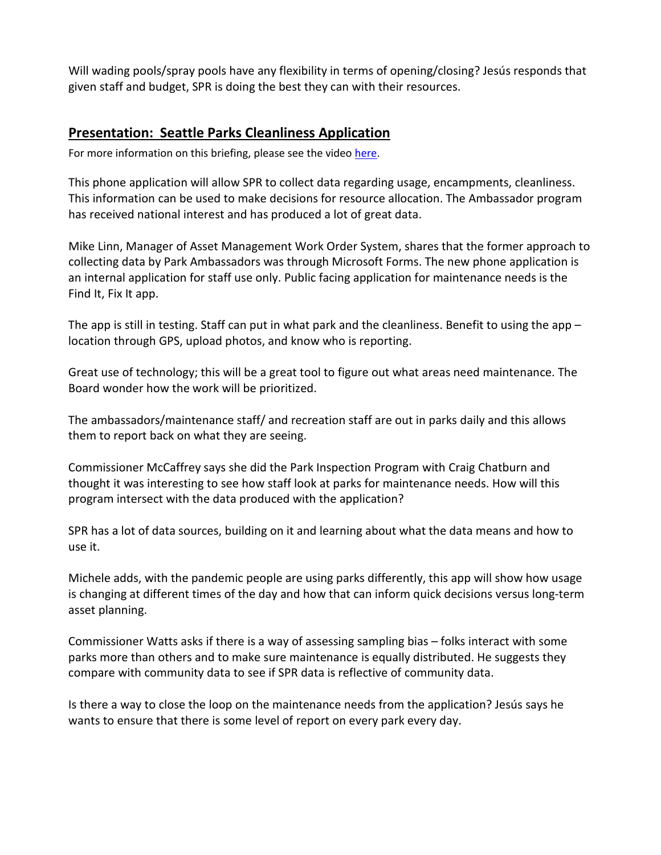Will wading pools/spray pools have any flexibility in terms of opening/closing? Jesús responds that given staff and budget, SPR is doing the best they can with their resources.

#### **Presentation: Seattle Parks Cleanliness Application**

For more information on this briefing, please see the vide[o here.](http://www.seattlechannel.org/parksBoard)

This phone application will allow SPR to collect data regarding usage, encampments, cleanliness. This information can be used to make decisions for resource allocation. The Ambassador program has received national interest and has produced a lot of great data.

Mike Linn, Manager of Asset Management Work Order System, shares that the former approach to collecting data by Park Ambassadors was through Microsoft Forms. The new phone application is an internal application for staff use only. Public facing application for maintenance needs is the Find It, Fix It app.

The app is still in testing. Staff can put in what park and the cleanliness. Benefit to using the app – location through GPS, upload photos, and know who is reporting.

Great use of technology; this will be a great tool to figure out what areas need maintenance. The Board wonder how the work will be prioritized.

The ambassadors/maintenance staff/ and recreation staff are out in parks daily and this allows them to report back on what they are seeing.

Commissioner McCaffrey says she did the Park Inspection Program with Craig Chatburn and thought it was interesting to see how staff look at parks for maintenance needs. How will this program intersect with the data produced with the application?

SPR has a lot of data sources, building on it and learning about what the data means and how to use it.

Michele adds, with the pandemic people are using parks differently, this app will show how usage is changing at different times of the day and how that can inform quick decisions versus long-term asset planning.

Commissioner Watts asks if there is a way of assessing sampling bias – folks interact with some parks more than others and to make sure maintenance is equally distributed. He suggests they compare with community data to see if SPR data is reflective of community data.

Is there a way to close the loop on the maintenance needs from the application? Jesús says he wants to ensure that there is some level of report on every park every day.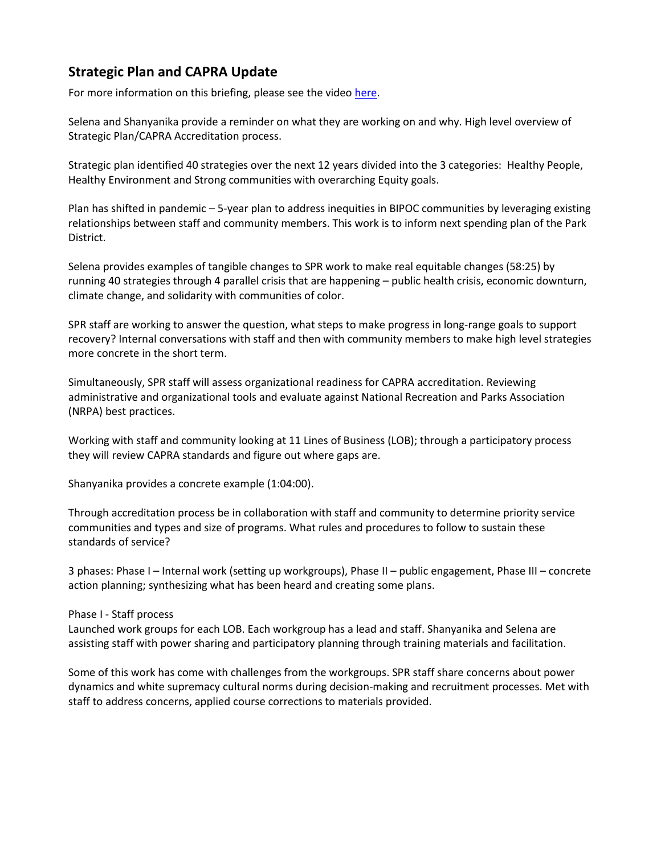# **Strategic Plan and CAPRA Update**

For more information on this briefing, please see the vide[o here.](http://www.seattlechannel.org/parksBoard)

Selena and Shanyanika provide a reminder on what they are working on and why. High level overview of Strategic Plan/CAPRA Accreditation process.

Strategic plan identified 40 strategies over the next 12 years divided into the 3 categories: Healthy People, Healthy Environment and Strong communities with overarching Equity goals.

Plan has shifted in pandemic – 5-year plan to address inequities in BIPOC communities by leveraging existing relationships between staff and community members. This work is to inform next spending plan of the Park District.

Selena provides examples of tangible changes to SPR work to make real equitable changes (58:25) by running 40 strategies through 4 parallel crisis that are happening – public health crisis, economic downturn, climate change, and solidarity with communities of color.

SPR staff are working to answer the question, what steps to make progress in long-range goals to support recovery? Internal conversations with staff and then with community members to make high level strategies more concrete in the short term.

Simultaneously, SPR staff will assess organizational readiness for CAPRA accreditation. Reviewing administrative and organizational tools and evaluate against National Recreation and Parks Association (NRPA) best practices.

Working with staff and community looking at 11 Lines of Business (LOB); through a participatory process they will review CAPRA standards and figure out where gaps are.

Shanyanika provides a concrete example (1:04:00).

Through accreditation process be in collaboration with staff and community to determine priority service communities and types and size of programs. What rules and procedures to follow to sustain these standards of service?

3 phases: Phase I – Internal work (setting up workgroups), Phase II – public engagement, Phase III – concrete action planning; synthesizing what has been heard and creating some plans.

#### Phase I - Staff process

Launched work groups for each LOB. Each workgroup has a lead and staff. Shanyanika and Selena are assisting staff with power sharing and participatory planning through training materials and facilitation.

Some of this work has come with challenges from the workgroups. SPR staff share concerns about power dynamics and white supremacy cultural norms during decision-making and recruitment processes. Met with staff to address concerns, applied course corrections to materials provided.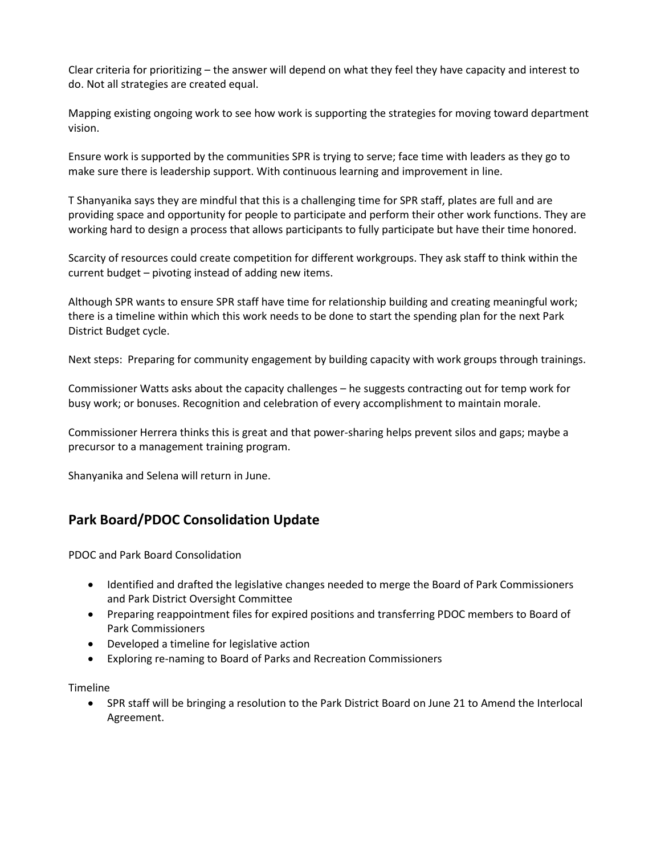Clear criteria for prioritizing – the answer will depend on what they feel they have capacity and interest to do. Not all strategies are created equal.

Mapping existing ongoing work to see how work is supporting the strategies for moving toward department vision.

Ensure work is supported by the communities SPR is trying to serve; face time with leaders as they go to make sure there is leadership support. With continuous learning and improvement in line.

T Shanyanika says they are mindful that this is a challenging time for SPR staff, plates are full and are providing space and opportunity for people to participate and perform their other work functions. They are working hard to design a process that allows participants to fully participate but have their time honored.

Scarcity of resources could create competition for different workgroups. They ask staff to think within the current budget – pivoting instead of adding new items.

Although SPR wants to ensure SPR staff have time for relationship building and creating meaningful work; there is a timeline within which this work needs to be done to start the spending plan for the next Park District Budget cycle.

Next steps: Preparing for community engagement by building capacity with work groups through trainings.

Commissioner Watts asks about the capacity challenges – he suggests contracting out for temp work for busy work; or bonuses. Recognition and celebration of every accomplishment to maintain morale.

Commissioner Herrera thinks this is great and that power-sharing helps prevent silos and gaps; maybe a precursor to a management training program.

Shanyanika and Selena will return in June.

#### **Park Board/PDOC Consolidation Update**

PDOC and Park Board Consolidation

- Identified and drafted the legislative changes needed to merge the Board of Park Commissioners and Park District Oversight Committee
- Preparing reappointment files for expired positions and transferring PDOC members to Board of Park Commissioners
- Developed a timeline for legislative action
- Exploring re-naming to Board of Parks and Recreation Commissioners

Timeline

• SPR staff will be bringing a resolution to the Park District Board on June 21 to Amend the Interlocal Agreement.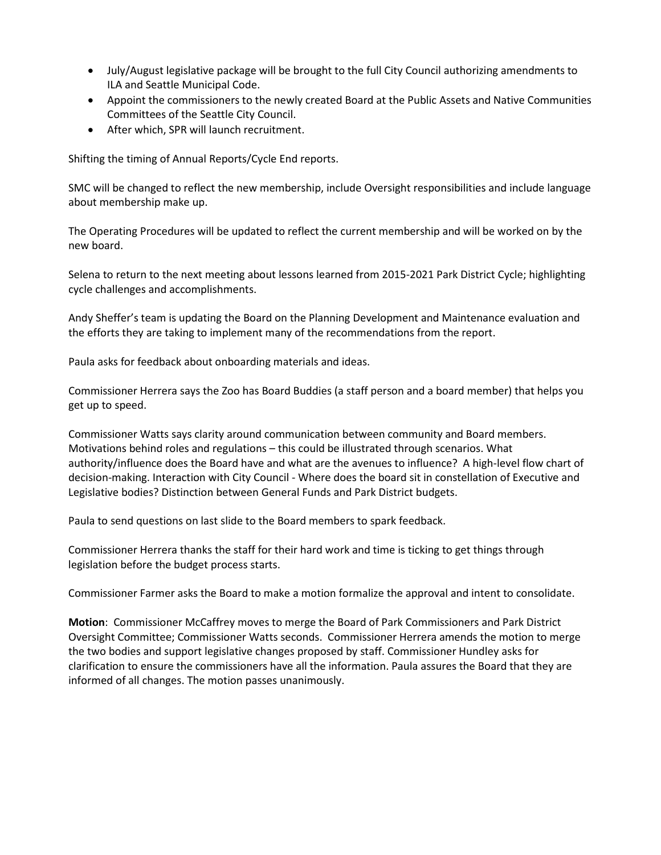- July/August legislative package will be brought to the full City Council authorizing amendments to ILA and Seattle Municipal Code.
- Appoint the commissioners to the newly created Board at the Public Assets and Native Communities Committees of the Seattle City Council.
- After which, SPR will launch recruitment.

Shifting the timing of Annual Reports/Cycle End reports.

SMC will be changed to reflect the new membership, include Oversight responsibilities and include language about membership make up.

The Operating Procedures will be updated to reflect the current membership and will be worked on by the new board.

Selena to return to the next meeting about lessons learned from 2015-2021 Park District Cycle; highlighting cycle challenges and accomplishments.

Andy Sheffer's team is updating the Board on the Planning Development and Maintenance evaluation and the efforts they are taking to implement many of the recommendations from the report.

Paula asks for feedback about onboarding materials and ideas.

Commissioner Herrera says the Zoo has Board Buddies (a staff person and a board member) that helps you get up to speed.

Commissioner Watts says clarity around communication between community and Board members. Motivations behind roles and regulations – this could be illustrated through scenarios. What authority/influence does the Board have and what are the avenues to influence? A high-level flow chart of decision-making. Interaction with City Council - Where does the board sit in constellation of Executive and Legislative bodies? Distinction between General Funds and Park District budgets.

Paula to send questions on last slide to the Board members to spark feedback.

Commissioner Herrera thanks the staff for their hard work and time is ticking to get things through legislation before the budget process starts.

Commissioner Farmer asks the Board to make a motion formalize the approval and intent to consolidate.

**Motion**: Commissioner McCaffrey moves to merge the Board of Park Commissioners and Park District Oversight Committee; Commissioner Watts seconds. Commissioner Herrera amends the motion to merge the two bodies and support legislative changes proposed by staff. Commissioner Hundley asks for clarification to ensure the commissioners have all the information. Paula assures the Board that they are informed of all changes. The motion passes unanimously.